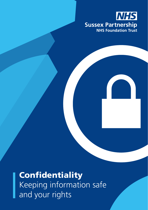

**Confidentiality** Keeping information safe and your rights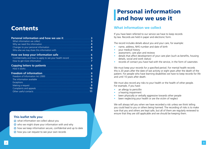### **Contents**

| Personal information and how we use it<br>What information we collect                                                                                                                      | 3<br>3                      |
|--------------------------------------------------------------------------------------------------------------------------------------------------------------------------------------------|-----------------------------|
| Why we need this information<br><b>Service Service</b><br>Changes to your personal information<br>Who else we may share this information with                                              | Δ<br>Δ<br>Δ                 |
| How we keep your information safe<br>Confidentiality and how to apply to see your health record<br>How to get more information                                                             | 6<br>6                      |
| <b>Copying letters to patients</b><br>How it works                                                                                                                                         | 8<br>8                      |
| <b>Freedom of information</b><br>Freedom of Information Act 2000<br>The information available<br><b>Exceptions</b><br>Making a request<br>Complaints and appeals.<br>Other useful contacts | 9<br>9<br>9<br>9<br>9<br>10 |

#### **This leaflet tells you:**

- $\odot$  what information we collect about you
- $\odot$  who we might share your information with and why
- $\odot$  how we keep information secure, confidential and up to date
- how you can request to see your own records

# Personal information and how we use it

### **What information we collect**

If you have been referred to our service we have to keep records by law. Records are held in paper and electronic form.

The record includes details about you and your care, for example:

- name, address, NHS number and date of birth
- your medical history
- assessment, care plan and reviews
- details that affect development of your care plan (such as benefits, housing details, social and work status)
- records of contact you have had with the service, in the form of casenotes

We must keep your records for a specified period. For mental health records this is 20 years after the date of last activity or eight years after the death of the patient. For people who have learning disabilities we have to keep records for life and until 10 years after death.

We must also record any risks to your health or the health of other people. For example, if you have:

- an allergy to penicillin
- a hearing impairment
- been physically or verbally aggressive towards other people
- been neglecting your health or are the victim of neglect

We will always tell you when we have recorded a risk unless we think telling you could lead to you or others being harmed. The recording of risks is to make sure that you and others are kept safe, but all of them are regularly reviewed to ensure that they are still applicable and we should be keeping them.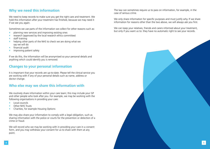### **Why we need this information**

We need to keep records to make sure you get the right care and treatment. We hold this information after your treatment has finished, because we may need it if we see you again.

Sometimes we use parts of the information we collect for other reasons such as:

- planning new services and improving existing ones
- research (approved by the local research ethics committee)
- staff training
- helping other parts of the NHS to check we are doing what we say we will do
- financial audit
- improving patient safety

If we do this, the information will be anonymised so your personal details and anything which could identify you is removed.

### **Changes to your personal information**

It is important that your records are up-to-date. Please tell the clinical service you are working with if any of your personal details such as name, address or doctor change.

### **Who else may we share this information with**

We routinely share information within your care team; this may include your GP and other people who look after you. For example, we may be working with the following organisations in providing your care:

- Local councils
- Other NHS Trusts
- Charities, for example Housing Options

We may also share your information to comply with a legal obligation, such as sharing information with the police or courts for the prevention or detection of a crime or fraud.

We will record who we may be working with in providing your care in a consent form, and you may withdraw your consent for us to share with them at any point.

The law can sometimes require us to pass on information, for example, in the case of serious crime.

We only share information for specific purposes and must justify why. If we share information for reasons other than the two above, we will always ask you first.

We can keep your relatives, friends and carers informed about your treatment, but only if you want us to: they have no automatic right to see your records.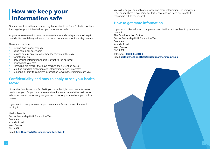## How we keep your information safe

Our staff are trained to make sure they know about the Data Protection Act and their legal responsibilities to keep your information safe.

Anyone who receives information from us is also under a legal duty to keep it confidential. We take great steps to ensure information about you stays secure.

These steps include:

- locking away paper records
- using computer passwords
- making sure people are who they say they are if they ask
- for information
- only sharing information that is relevant to the purposes
- of providing you care
- shredding old records that have reached their retention dates
- auditing our data protection and information security processes
- requiring all staff to complete Information Governance training each year

### **Confidentiality and how to apply to see your health record**

Under the Data Protection Act 2018 you have the right to access information held about you. Or, you or a representative, for example a relative, solicitor or advocate, can ask to formally see your record as long as they have your written consent.

If you want to see your records, you can make a Subject Access Request in writing to:

Health Records Sussex Partnership NHS Foundation Trust Swandean Arundel Road West Sussex BN13 3EP Email: **health.records@sussexpartnership.nhs.uk** We will send you an application form, and more information, including your legal rights. There is no charge for this service and we have one month to respond in full to the request.

### **How to get more information**

If you would like to know more please speak to the staff involved in your care or contact: The Data Protection Officer, Sussex Partnership NHS Foundation Trust Swandean Arundel Road West Sussex BN13 3EP Telephone: **0300 304 0100** Email: **dataprotectionofficer@sussexpartnership.nhs.uk**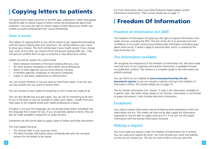# **Copying letters to patients** For more information about your Data Protection Rights please contact **Copying leta** Contact details are on page 11.

The government made a promise in the NHS plan, published in 2000, that people should be able to receive copies of letters written by professionals about their treatment. You have the right to receive copies of letter about your health care written by health professionals from Sussex Partnership.

### **How it works**

The subject of copying letters to you will be raised at your appointment/meeting with the person looking after your treatment. You will be asked to sign a form to show your choices. This form will be kept in your health record. If you change your mind, at any time, you should inform the person looking after you - they will give you another form to sign so everyone is clear about your wishes.

Letters you will be copied into could include:

- letters between members of the team looking after you, your
- GP, other doctors, therapists or other health care professionals
- letters to other agencies such as social services, housing
- or benefits agencies, employers or insurance companies
- copies of care plans, assessments or referral forms

You can choose whether or not you want to have these copies. If you do, you can also choose how you want to receive them.

You can choose to have copies of everything or not to have any copies at all.

You can also decide how you get copies. You can ask for everything to be sent to you in the post, or you can arrange to collect your copies - usually from your team base or the hospital where your health professional is based.

If English is not your first language, we can provide these letters translated into the language that is easier for you. If you are partially sighted or blind, they can also be made available in large print or audio versions.

Sometimes we will not be able to supply copies of letters and other documents.

This may happen because:

- The clinician feels it may cause you harm
- The letter includes information about somebody else who has not given consent for the details to be shared

Information Governance. Their contact details are on page 11.

# Freedom Of Information

### **Freedom of Information Act 2000**

The Freedom of Information Act gives you the right to request information from public services, including the NHS. The aim of the Act is to promote trust and confidence in our public services by providing clear information and being open about what we do. It doesn't apply to personal data, which is covered by the Data Protection Act.

### **The information available**

We recognise the importance of the Freedom of Information Act. We have made sure that most of our corporate and business information is available through our publication scheme. The scheme is a complete guide to the information we publish routinely.

You can find it on our website at **www.sussexpartnership.nhs.uk/ documents-reports** or you can request a copy by writing to the Freedom of Information Officer. The contact details are on page 10.

The Act divides information into 'classes'. A class is the information available on a specific topic. We reflect these classes in our Scheme. Information is not limited to paper documents; it also includes electronic information.

### **Exceptions**

Your right to obtain information may be limited by some exemptions which are listed within the Act. This means we may not be able supply the information requested or may be able to supply only part of it. If we can, we will supply information with the exempt information removed.

### **Making a request**

You must make any request under the Freedom of Information Act in writing. You can make your request by email. You must include your name and address so that we can contact you. You do not have to tell us why you want the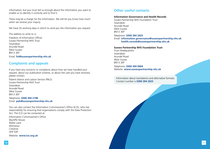information, but you must tell us enough about the information you want to enable us to identify it correctly and to find it.

There may be a charge for the information. We will let you know how much when we receive your inquiry.

We have 20 working days in which to send you the information you request.

The address to write to is: Freedom of Information Officer Sussex Partnership NHS Trust Swandean Arundel Road West Sussex BN13 3EP Email: **foi@sussexpartnership.nhs.uk**

### **Complaints and appeals**

If you have any concerns or complaints about how we have handled your request, about our publication scheme, or about the care you have received, please contact:

Patient Advice and Liaison Service (PALS) Sussex Partnership NHS Trust Swandean Arundel Road West Sussex BN13 3EP

Telephone: **0300 304 2198** Email: **pals@sussexpartnership.nhs.uk**

You can also contact the Information Commissioner's Office (ICO), who has responsibility for ensuring that organisations comply with the Data Protection Act. The ICO can be contacted at:

Information Commissioner's Office Wycliffe House Water Lane Wilmslow Cheshire SK9 5AF Website: **www.ico.org.uk**

### **Other useful contacts**

#### **Information Governance and Health Records**

Sussex Partnership NHS Foundation Trust Swandean Arundel Road West Sussex BN13 3EP Telephone: **0300 304 2025** Email: **information.governance@sussexpartnership.nhs.uk health.records@sussexpartnership.nhs.uk**

#### **Sussex Partnership NHS Foundation Trust**

Trust Headquarters Swandean Arundel Road West Sussex BN13 3EP Telephone: **0300 304 0664** Website: **www.sussexpartnership.nhs.uk**

Information about translations and alternative formats: Contact number is **0300 304 2025**